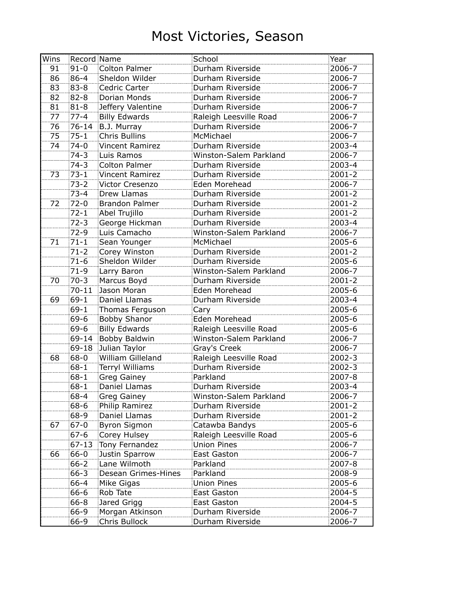| Wins            | Record Name |                      | School                 | Year       |
|-----------------|-------------|----------------------|------------------------|------------|
| 91              | $91 - 0$    | Colton Palmer        | Durham Riverside       | 2006-7     |
| 86              | 86-4        | Sheldon Wilder       | Durham Riverside       | 2006-7     |
| 83              | 83-8        | Cedric Carter        | Durham Riverside       | 2006-7     |
| 82              | 82-8        | Dorian Monds         | Durham Riverside       | 2006-7     |
| 81              | $81 - 8$    | Jeffery Valentine    | Durham Riverside       | 2006-7     |
| 77              | $77 - 4$    | <b>Billy Edwards</b> | Raleigh Leesville Road | 2006-7     |
| 76              | 76-14       | B.J. Murray          | Durham Riverside       | 2006-7     |
| $\overline{75}$ | $75 - 1$    | Chris Bullins        | McMichael              | 2006-7     |
| 74              | 74-0        | Vincent Ramirez      | Durham Riverside       | 2003-4     |
|                 | $74-3$      | Luis Ramos           | Winston-Salem Parkland | 2006-7     |
|                 | $74-3$      | Colton Palmer        | Durham Riverside       | 2003-4     |
| 73              | $73-1$      | Vincent Ramirez      | Durham Riverside       | 2001-2     |
|                 | $73 - 2$    | Victor Cresenzo      | Eden Morehead          | 2006-7     |
|                 | $73 - 4$    | Drew Llamas          | Durham Riverside       | $2001 - 2$ |
| 72              | 72-0        | Brandon Palmer       | Durham Riverside       | $2001 - 2$ |
|                 | $72 - 1$    | Abel Trujillo        | Durham Riverside       | 2001-2     |
|                 | $72-3$      | George Hickman       | Durham Riverside       | 2003-4     |
|                 | $72-9$      | Luis Camacho         | Winston-Salem Parkland | 2006-7     |
| 71              | $71 - 1$    | Sean Younger         | McMichael              | 2005-6     |
|                 | $71-2$      | Corey Winston        | Durham Riverside       | $2001 - 2$ |
|                 | $71-6$      | Sheldon Wilder       | Durham Riverside       | 2005-6     |
|                 | $71-9$      | Larry Baron          | Winston-Salem Parkland | 2006-7     |
| 70              | $70-3$      | Marcus Boyd          | Durham Riverside       | 2001-2     |
|                 | $70 - 11$   | Jason Moran          | Eden Morehead          | 2005-6     |
| 69              | $69-1$      | Daniel Llamas        | Durham Riverside       | 2003-4     |
|                 | $69-1$      | Thomas Ferguson      | Cary                   | 2005-6     |
|                 | $69 - 6$    | <b>Bobby Shanor</b>  | Eden Morehead          | 2005-6     |
|                 | $69 - 6$    | Billy Edwards        | Raleigh Leesville Road | 2005-6     |
|                 | $69 - 14$   | Bobby Baldwin        | Winston-Salem Parkland | 2006-7     |
|                 | $69 - 18$   | Julian Taylor        | Gray's Creek           | 2006-7     |
| 68              | $68 - 0$    | William Gilleland    | Raleigh Leesville Road | 2002-3     |
|                 | $68 - 1$    | Terryl Williams      | Durham Riverside       | 2002-3     |
|                 | $68 - 1$    | Greg Gainey          | Parkland               | 2007-8     |
|                 | $68 - 1$    | Daniel Llamas        | Durham Riverside       | 2003-4     |
|                 | 68-4        | Greg Gainey          | Winston-Salem Parkland | 2006-7     |
|                 | 68-6        | Philip Ramirez       | Durham Riverside       | 2001-2     |
|                 | $68 - 9$    | Daniel Llamas        | Durham Riverside       | 2001-2     |
| 67              | $67 - 0$    | <b>Byron Sigmon</b>  | Catawba Bandys         | 2005-6     |
|                 | $67 - 6$    | Corey Hulsey         | Raleigh Leesville Road | 2005-6     |
|                 | $67 - 13$   | Tony Fernandez       | <b>Union Pines</b>     | 2006-7     |
| 66              | $66 - 0$    | Justin Sparrow       | East Gaston            | 2006-7     |
|                 | $66 - 2$    | Lane Wilmoth         | Parkland               | 2007-8     |
|                 | $66 - 3$    | Desean Grimes-Hines  | Parkland               | 2008-9     |
|                 | $66 - 4$    | Mike Gigas           | <b>Union Pines</b>     | 2005-6     |
|                 | $66 - 6$    | Rob Tate             | East Gaston            | 2004-5     |
|                 | $66 - 8$    | Jared Grigg          | East Gaston            | 2004-5     |
|                 | 66-9        | Morgan Atkinson      | Durham Riverside       | 2006-7     |
|                 | 66-9        | Chris Bullock        | Durham Riverside       | 2006-7     |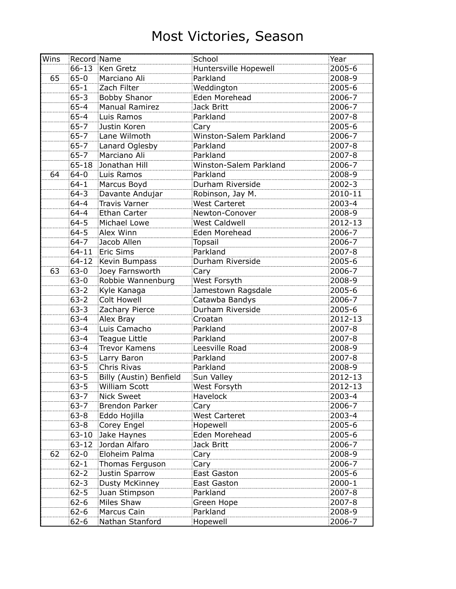| Wins | Record Name |                         | School                 | Year    |
|------|-------------|-------------------------|------------------------|---------|
|      |             | 66-13 Ken Gretz         | Huntersville Hopewell  | 2005-6  |
| 65   | $65 - 0$    | Marciano Ali            | Parkland               | 2008-9  |
|      | $65 - 1$    | Zach Filter             | Weddington             | 2005-6  |
|      | $65 - 3$    | Bobby Shanor            | Eden Morehead          | 2006-7  |
|      | $65 - 4$    | <b>Manual Ramirez</b>   | <b>Jack Britt</b>      | 2006-7  |
|      | $65 - 4$    | Luis Ramos              | Parkland               | 2007-8  |
|      | $65 - 7$    | Justin Koren            | Cary                   | 2005-6  |
|      | $65 - 7$    | Lane Wilmoth            | Winston-Salem Parkland | 2006-7  |
|      | $65 - 7$    | Lanard Oglesby          | Parkland               | 2007-8  |
|      | $65 - 7$    | Marciano Ali            | Parkland               | 2007-8  |
|      | $65 - 18$   | Jonathan Hill           | Winston-Salem Parkland | 2006-7  |
| 64   | $64 - 0$    | Luis Ramos              | Parkland               | 2008-9  |
|      | $64 - 1$    | Marcus Boyd             | Durham Riverside       | 2002-3  |
|      | $64 - 3$    | Davante Andujar         | Robinson, Jay M.       | 2010-11 |
|      | $64 - 4$    | Travis Varner           | <b>West Carteret</b>   | 2003-4  |
|      | $64 - 4$    | Ethan Carter            | Newton-Conover         | 2008-9  |
|      | $64 - 5$    | Michael Lowe            | <b>West Caldwell</b>   | 2012-13 |
|      | $64 - 5$    | Alex Winn               | Eden Morehead          | 2006-7  |
|      | $64 - 7$    | Jacob Allen             | <b>Topsail</b>         | 2006-7  |
|      | $64 - 11$   | Eric Sims               | Parkland               | 2007-8  |
|      | $64 - 12$   | Kevin Bumpass           | Durham Riverside       | 2005-6  |
| 63   | $63 - 0$    | Joey Farnsworth         | Cary                   | 2006-7  |
|      | $63 - 0$    | Robbie Wannenburg       | West Forsyth           | 2008-9  |
|      | $63 - 2$    | Kyle Kanaga             | Jamestown Ragsdale     | 2005-6  |
|      | $63 - 2$    | <b>Colt Howell</b>      | Catawba Bandys         | 2006-7  |
|      | $63 - 3$    | Zachary Pierce          | Durham Riverside       | 2005-6  |
|      | $63 - 4$    | Alex Bray               | Croatan                | 2012-13 |
|      | $63 - 4$    | Luis Camacho            | Parkland               | 2007-8  |
|      | $63 - 4$    | Teague Little           | Parkland               | 2007-8  |
|      | $63 - 4$    | <b>Trevor Kamens</b>    | Leesville Road         | 2008-9  |
|      | $63 - 5$    | Larry Baron             | Parkland               | 2007-8  |
|      | $63 - 5$    | Chris Rivas             | Parkland               | 2008-9  |
|      | $63 - 5$    | Billy (Austin) Benfield | Sun Valley             | 2012-13 |
|      | $63 - 5$    | William Scott           | West Forsyth           | 2012-13 |
|      | $63 - 7$    | Nick Sweet              | Havelock               | 2003-4  |
|      | $63 - 7$    | <b>Brendon Parker</b>   | Cary                   | 2006-7  |
|      | $63 - 8$    | Eddo Hojilla            | West Carteret          | 2003-4  |
|      | $63 - 8$    | Corey Engel             | Hopewell               | 2005-6  |
|      | $63 - 10$   | Jake Haynes             | Eden Morehead          | 2005-6  |
|      | $63 - 12$   | Jordan Alfaro           | Jack Britt             | 2006-7  |
| 62   | $62 - 0$    | Eloheim Palma           | Cary                   | 2008-9  |
|      | $62 - 1$    | Thomas Ferguson         | Cary                   | 2006-7  |
|      | $62 - 2$    | Justin Sparrow          | East Gaston            | 2005-6  |
|      | $62 - 3$    | Dusty McKinney          | East Gaston            | 2000-1  |
|      | $62 - 5$    | Juan Stimpson           | Parkland               | 2007-8  |
|      | $62 - 6$    | Miles Shaw              | Green Hope             | 2007-8  |
|      | $62 - 6$    | Marcus Cain             | Parkland               | 2008-9  |
|      | $62 - 6$    | Nathan Stanford         | Hopewell               | 2006-7  |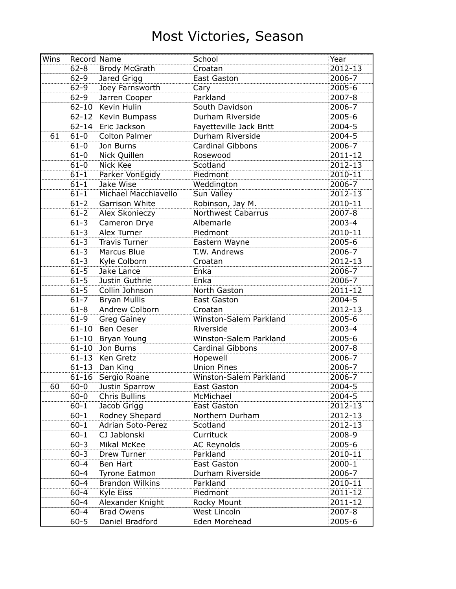| Wins |           | Record Name              | School                  | Year       |
|------|-----------|--------------------------|-------------------------|------------|
|      | $62 - 8$  | Brody McGrath            | Croatan                 | 2012-13    |
|      | $62 - 9$  | Jared Grigg              | <b>East Gaston</b>      | 2006-7     |
|      | $62 - 9$  | Joey Farnsworth          | Cary                    | 2005-6     |
|      | $62 - 9$  | Jarren Cooper            | Parkland                | 2007-8     |
|      | $62 - 10$ | Kevin Hulin              | South Davidson          | 2006-7     |
|      | $62 - 12$ | Kevin Bumpass            | Durham Riverside        | 2005-6     |
|      | $62 - 14$ | Eric Jackson             | Fayetteville Jack Britt | 2004-5     |
| 61   | $61 - 0$  | <b>Colton Palmer</b>     | Durham Riverside        | 2004-5     |
|      | $61 - 0$  | Jon Burns                | Cardinal Gibbons        | 2006-7     |
|      | $61 - 0$  | Nick Quillen             | Rosewood                | 2011-12    |
|      | $61 - 0$  | Nick Kee                 | Scotland                | 2012-13    |
|      | $61 - 1$  | Parker VonEgidy          | Piedmont                | 2010-11    |
|      | $61 - 1$  | Jake Wise                | Weddington              | 2006-7     |
|      | $61 - 1$  | Michael Macchiavello     | Sun Valley              | 2012-13    |
|      | $61 - 2$  | Garrison White           | Robinson, Jay M.        | 2010-11    |
|      | $61 - 2$  | Alex Skonieczy           | Northwest Cabarrus      | 2007-8     |
|      | $61 - 3$  | Cameron Drye             | Albemarle               | $2003 - 4$ |
|      | $61 - 3$  | Alex Turner              | Piedmont                | 2010-11    |
|      | $61 - 3$  | <b>Travis Turner</b>     | Eastern Wayne           | 2005-6     |
|      | $61 - 3$  | Marcus Blue              | T.W. Andrews            | 2006-7     |
|      | $61 - 3$  | Kyle Colborn             | Croatan                 | 2012-13    |
|      | $61 - 5$  | Jake Lance               | Enka                    | 2006-7     |
|      | $61 - 5$  | Justin Guthrie           | Enka                    | 2006-7     |
|      | $61 - 5$  | Collin Johnson           | North Gaston            | 2011-12    |
|      | $61 - 7$  | <b>Bryan Mullis</b>      | East Gaston             | 2004-5     |
|      | $61 - 8$  | <b>Andrew Colborn</b>    | Croatan                 | 2012-13    |
|      | $61-9$    | <b>Greg Gainey</b>       | Winston-Salem Parkland  | 2005-6     |
|      | $61 - 10$ | Ben Oeser                | Riverside               | 2003-4     |
|      | $61 - 10$ | Bryan Young              | Winston-Salem Parkland  | 2005-6     |
|      | $61 - 10$ | Jon Burns                | Cardinal Gibbons        | 2007-8     |
|      |           | 61-13 Ken Gretz          | Hopewell                | 2006-7     |
|      | $61 - 13$ | Dan King                 | <b>Union Pines</b>      | 2006-7     |
|      |           | 61-16 Sergio Roane       | Winston-Salem Parkland  | 2006-7     |
| 60   |           | 60-0 Justin Sparrow      | East Gaston             | 2004-5     |
|      | $60 - 0$  | Chris Bullins            | McMichael               | 2004-5     |
|      | $60 - 1$  | Jacob Grigg              | East Gaston             | 2012-13    |
|      | $60 - 1$  | Rodney Shepard           | Northern Durham         | 2012-13    |
|      | $60 - 1$  | <b>Adrian Soto-Perez</b> | Scotland                | 2012-13    |
|      | $60 - 1$  | CJ Jablonski             | Currituck               | 2008-9     |
|      | $60 - 3$  | Mikal McKee              | <b>AC Reynolds</b>      | 2005-6     |
|      | $60 - 3$  | Drew Turner              | Parkland                | 2010-11    |
|      | $60 - 4$  | Ben Hart                 | <b>East Gaston</b>      | 2000-1     |
|      | $60 - 4$  | <b>Tyrone Eatmon</b>     | Durham Riverside        | 2006-7     |
|      | $60 - 4$  | <b>Brandon Wilkins</b>   | Parkland                | 2010-11    |
|      | $60 - 4$  | Kyle Eiss                | Piedmont                | 2011-12    |
|      | $60 - 4$  | Alexander Knight         | Rocky Mount             | 2011-12    |
|      | $60 - 4$  | <b>Brad Owens</b>        | West Lincoln            | 2007-8     |
|      | $60 - 5$  | Daniel Bradford          | Eden Morehead           | 2005-6     |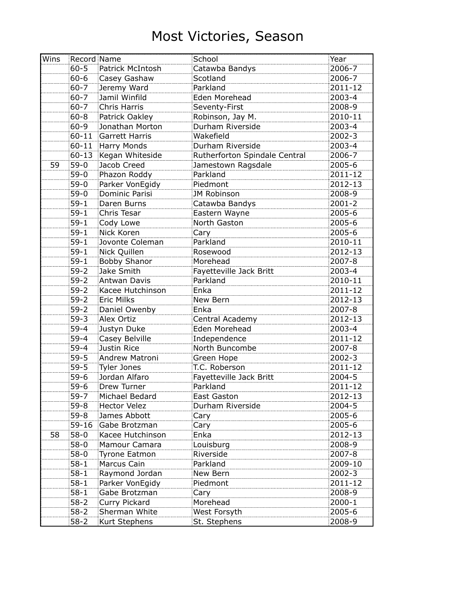| Wins | Record Name |                       | School                        | Year       |
|------|-------------|-----------------------|-------------------------------|------------|
|      | $60 - 5$    | Patrick McIntosh      | Catawba Bandys                | 2006-7     |
|      | $60 - 6$    | Casey Gashaw          | Scotland                      | 2006-7     |
|      | $60 - 7$    | Jeremy Ward           | Parkland                      | 2011-12    |
|      | $60 - 7$    | Jamil Winfild         | Eden Morehead                 | 2003-4     |
|      | $60 - 7$    | Chris Harris          | Seventy-First                 | 2008-9     |
|      | $60 - 8$    | Patrick Oakley        | Robinson, Jay M.              | 2010-11    |
|      | $60 - 9$    | Jonathan Morton       | Durham Riverside              | 2003-4     |
|      | $60 - 11$   | Garrett Harris        | Wakefield                     | 2002-3     |
|      |             | 60-11 Harry Monds     | Durham Riverside              | 2003-4     |
|      |             | 60-13 Kegan Whiteside | Rutherforton Spindale Central | 2006-7     |
| 59   | $59-0$      | Jacob Creed           | Jamestown Ragsdale            | 2005-6     |
|      | $59-0$      | Phazon Roddy          | Parkland                      | 2011-12    |
|      | $59-0$      | Parker VonEgidy       | Piedmont                      | 2012-13    |
|      | $59-0$      | Dominic Parisi        | JM Robinson                   | 2008-9     |
|      | $59 - 1$    | Daren Burns           | Catawba Bandys                | $2001 - 2$ |
|      | $59 - 1$    | Chris Tesar           | Eastern Wayne                 | 2005-6     |
|      | $59-1$      | Cody Lowe             | North Gaston                  | 2005-6     |
|      | $59-1$      | Nick Koren            | Cary                          | 2005-6     |
|      | $59-1$      | Jovonte Coleman       | Parkland                      | 2010-11    |
|      | $59-1$      | Nick Quillen          | Rosewood                      | 2012-13    |
|      | $59 - 1$    | Bobby Shanor          | Morehead                      | 2007-8     |
|      | $59 - 2$    | Jake Smith            | Fayetteville Jack Britt       | 2003-4     |
|      | $59 - 2$    | Antwan Davis          | Parkland                      | 2010-11    |
|      | $59 - 2$    | Kacee Hutchinson      | Enka                          | 2011-12    |
|      | $59-2$      | <b>Eric Milks</b>     | New Bern                      | 2012-13    |
|      | $59-2$      | Daniel Owenby         | Enka                          | 2007-8     |
|      | $59-3$      | Alex Ortiz            | Central Academy               | 2012-13    |
|      | $59 - 4$    | Justyn Duke           | Eden Morehead                 | 2003-4     |
|      | $59 - 4$    | Casey Belville        | Independence                  | 2011-12    |
|      | $59 - 4$    | Justin Rice           | North Buncombe                | 2007-8     |
|      | $59 - 5$    | Andrew Matroni        | Green Hope                    | 2002-3     |
|      | $59 - 5$    | Tyler Jones           | T.C. Roberson                 | 2011-12    |
|      | $59-6$      | Jordan Alfaro         | Fayetteville Jack Britt       | 2004-5     |
|      | $59-6$      | Drew Turner           | Parkland                      | 2011-12    |
|      | $59 - 7$    | Michael Bedard        | East Gaston                   | 2012-13    |
|      | $59 - 8$    | <b>Hector Velez</b>   | Durham Riverside              | 2004-5     |
|      | $59 - 8$    | James Abbott          | Cary                          | 2005-6     |
|      | $59 - 16$   | Gabe Brotzman         | Cary                          | 2005-6     |
| 58   | $58 - 0$    | Kacee Hutchinson      | Enka                          | 2012-13    |
|      | $58-0$      | Mamour Camara         | Louisburg                     | 2008-9     |
|      | $58 - 0$    | <b>Tyrone Eatmon</b>  | Riverside                     | 2007-8     |
|      | $58 - 1$    | Marcus Cain           | Parkland                      | 2009-10    |
|      | $58 - 1$    | Raymond Jordan        | New Bern                      | $2002 - 3$ |
|      | $58 - 1$    | Parker VonEgidy       | Piedmont                      | 2011-12    |
|      | $58 - 1$    | Gabe Brotzman         | Cary                          | 2008-9     |
|      | $58 - 2$    | Curry Pickard         | Morehead                      | 2000-1     |
|      | $58 - 2$    | Sherman White         | West Forsyth                  | 2005-6     |
|      | $58 - 2$    | Kurt Stephens         | St. Stephens                  | 2008-9     |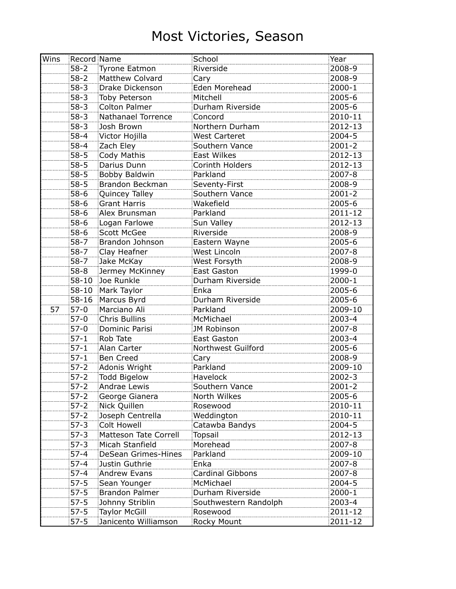| Wins | Record Name |                              | School                | Year       |
|------|-------------|------------------------------|-----------------------|------------|
|      | $58 - 2$    | Tyrone Eatmon                | Riverside             | 2008-9     |
|      | $58 - 2$    | Matthew Colvard              | Cary                  | 2008-9     |
|      | $58 - 3$    | Drake Dickenson              | Eden Morehead         | $2000 - 1$ |
|      | $58 - 3$    | Toby Peterson                | Mitchell              | 2005-6     |
|      | $58-3$      | <b>Colton Palmer</b>         | Durham Riverside      | 2005-6     |
|      | $58-3$      | Nathanael Torrence           | Concord               | 2010-11    |
|      | $58-3$      | Josh Brown                   | Northern Durham       | 2012-13    |
|      | $58 - 4$    | Victor Hojilla               | West Carteret         | 2004-5     |
|      | $58 - 4$    | Zach Eley                    | Southern Vance        | $2001 - 2$ |
|      | $58 - 5$    | Cody Mathis                  | <b>East Wilkes</b>    | 2012-13    |
|      | $58 - 5$    | Darius Dunn                  | Corinth Holders       | 2012-13    |
|      | $58 - 5$    | Bobby Baldwin                | Parkland              | 2007-8     |
|      | $58 - 5$    | Brandon Beckman              | Seventy-First         | 2008-9     |
|      | $58 - 6$    | Quincey Talley               | Southern Vance        | $2001 - 2$ |
|      | $58-6$      | Grant Harris                 | Wakefield             | 2005-6     |
|      | $58 - 6$    | Alex Brunsman                | Parkland              | 2011-12    |
|      | $58-6$      | Logan Farlowe                | Sun Valley            | 2012-13    |
|      | $58-6$      | <b>Scott McGee</b>           | Riverside             | 2008-9     |
|      | $58 - 7$    | Brandon Johnson              | Eastern Wayne         | 2005-6     |
|      | $58 - 7$    | Clay Heafner                 | West Lincoln          | 2007-8     |
|      | $58 - 7$    | Jake McKay                   | West Forsyth          | 2008-9     |
|      | $58 - 8$    | Jermey McKinney              | East Gaston           | 1999-0     |
|      | $58 - 10$   | Joe Runkle                   | Durham Riverside      | 2000-1     |
|      | $58 - 10$   | Mark Taylor                  | Enka                  | 2005-6     |
|      | $58 - 16$   | Marcus Byrd                  | Durham Riverside      | 2005-6     |
| 57   | $57-0$      | Marciano Ali                 | Parkland              | 2009-10    |
|      | $57-0$      | <b>Chris Bullins</b>         | McMichael             | 2003-4     |
|      | $57-0$      | Dominic Parisi               | JM Robinson           | 2007-8     |
|      | $57 - 1$    | Rob Tate                     | East Gaston           | 2003-4     |
|      | $57 - 1$    | Alan Carter                  | Northwest Guilford    | 2005-6     |
|      | $57-1$      | <b>Ben Creed</b>             | Cary                  | 2008-9     |
|      | $57 - 2$    | Adonis Wright                | Parkland              | 2009-10    |
|      | $57 - 2$    | Todd Bigelow                 | Havelock              | 2002-3     |
|      | $57 - 2$    | Andrae Lewis                 | Southern Vance        | $2001 - 2$ |
|      | $57-2$      | George Gianera               | North Wilkes          | 2005-6     |
|      | $57-2$      | Nick Quillen                 | Rosewood              | 2010-11    |
|      | $57-2$      | Joseph Centrella             | Weddington            | 2010-11    |
|      | $57-3$      | <b>Colt Howell</b>           | Catawba Bandys        | $2004 - 5$ |
|      | $57-3$      | <b>Matteson Tate Correll</b> | Topsail               | 2012-13    |
|      | $57-3$      | Micah Stanfield              | Morehead              | 2007-8     |
|      | $57 - 4$    | DeSean Grimes-Hines          | Parkland              | 2009-10    |
|      | $57 - 4$    | Justin Guthrie               | Enka                  | 2007-8     |
|      | $57 - 4$    | <b>Andrew Evans</b>          | Cardinal Gibbons      | 2007-8     |
|      | $57 - 5$    | Sean Younger                 | McMichael             | 2004-5     |
|      | $57 - 5$    | <b>Brandon Palmer</b>        | Durham Riverside      | 2000-1     |
|      | $57 - 5$    | Johnny Striblin              | Southwestern Randolph | 2003-4     |
|      | $57 - 5$    | <b>Taylor McGill</b>         | Rosewood              | 2011-12    |
|      | $57 - 5$    | Janicento Williamson         | Rocky Mount           | 2011-12    |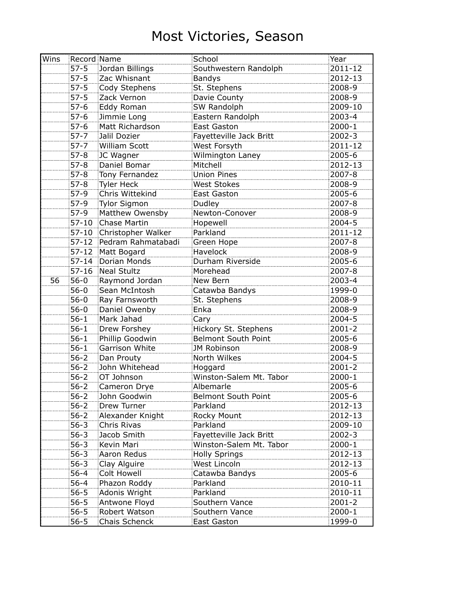| Wins |           | Record Name        | School                     | Year       |
|------|-----------|--------------------|----------------------------|------------|
|      | $57 - 5$  | Jordan Billings    | Southwestern Randolph      | 2011-12    |
|      | $57 - 5$  | Zac Whisnant       | <b>Bandys</b>              | 2012-13    |
|      | $57 - 5$  | Cody Stephens      | St. Stephens               | 2008-9     |
|      | $57 - 5$  | Zack Vernon        | Davie County               | 2008-9     |
|      | $57-6$    | Eddy Roman         | SW Randolph                | 2009-10    |
|      | $57-6$    | Jimmie Long        | Eastern Randolph           | 2003-4     |
|      | $57-6$    | Matt Richardson    | <b>East Gaston</b>         | 2000-1     |
|      | $57 - 7$  | Jalil Dozier       | Fayetteville Jack Britt    | 2002-3     |
|      | $57 - 7$  | William Scott      | West Forsyth               | 2011-12    |
|      | $57 - 8$  | JC Wagner          | Wilmington Laney           | 2005-6     |
|      | $57 - 8$  | Daniel Bomar       | Mitchell                   | 2012-13    |
|      | $57 - 8$  | Tony Fernandez     | <b>Union Pines</b>         | 2007-8     |
|      | $57 - 8$  | Tyler Heck         | <b>West Stokes</b>         | 2008-9     |
|      | $57-9$    | Chris Wittekind    | East Gaston                | 2005-6     |
|      | $57-9$    | Tylor Sigmon       | Dudley                     | 2007-8     |
|      | $57-9$    | Matthew Owensby    | Newton-Conover             | 2008-9     |
|      | $57 - 10$ | Chase Martin       | Hopewell                   | 2004-5     |
|      | $57 - 10$ | Christopher Walker | Parkland                   | 2011-12    |
|      | $57 - 12$ | Pedram Rahmatabadi | Green Hope                 | 2007-8     |
|      |           | 57-12 Matt Bogard  | Havelock                   | 2008-9     |
|      | $57 - 14$ | Dorian Monds       | Durham Riverside           | 2005-6     |
|      |           | 57-16 Neal Stultz  | Morehead                   | 2007-8     |
| 56   | $56 - 0$  | Raymond Jordan     | New Bern                   | 2003-4     |
|      | $56-0$    | Sean McIntosh      | Catawba Bandys             | 1999-0     |
|      | $56 - 0$  | Ray Farnsworth     | St. Stephens               | 2008-9     |
|      | $56 - 0$  | Daniel Owenby      | Enka                       | 2008-9     |
|      | $56 - 1$  | Mark Jahad         | Cary                       | 2004-5     |
|      | $56 - 1$  | Drew Forshey       | Hickory St. Stephens       | $2001 - 2$ |
|      | $56 - 1$  | Phillip Goodwin    | <b>Belmont South Point</b> | 2005-6     |
|      | $56 - 1$  | Garrison White     | JM Robinson                | 2008-9     |
|      | $56 - 2$  | Dan Prouty         | North Wilkes               | 2004-5     |
|      | $56 - 2$  | John Whitehead     | Hoggard                    | $2001 - 2$ |
|      | $56 - 2$  | OT Johnson         | Winston-Salem Mt. Tabor    | 2000-1     |
|      | $56 - 2$  | Cameron Drye       | Albemarle                  | 2005-6     |
|      | $56 - 2$  | John Goodwin       | <b>Belmont South Point</b> | 2005-6     |
|      | $56 - 2$  | Drew Turner        | Parkland                   | 2012-13    |
|      | $56 - 2$  | Alexander Knight   | Rocky Mount                | 2012-13    |
|      | $56 - 3$  | Chris Rivas        | Parkland                   | 2009-10    |
|      | $56 - 3$  | Jacob Smith        | Fayetteville Jack Britt    | 2002-3     |
|      | $56 - 3$  | Kevin Mari         | Winston-Salem Mt. Tabor    | 2000-1     |
|      | $56 - 3$  | Aaron Redus        | <b>Holly Springs</b>       | 2012-13    |
|      | $56 - 3$  | Clay Alguire       | West Lincoln               | 2012-13    |
|      | $56 - 4$  | <b>Colt Howell</b> | Catawba Bandys             | 2005-6     |
|      | $56 - 4$  | Phazon Roddy       | Parkland                   | 2010-11    |
|      | $56 - 5$  | Adonis Wright      | Parkland                   | 2010-11    |
|      | $56 - 5$  | Antwone Floyd      | Southern Vance             | $2001 - 2$ |
|      | $56 - 5$  | Robert Watson      | Southern Vance             | 2000-1     |
|      | $56 - 5$  | Chais Schenck      | East Gaston                | 1999-0     |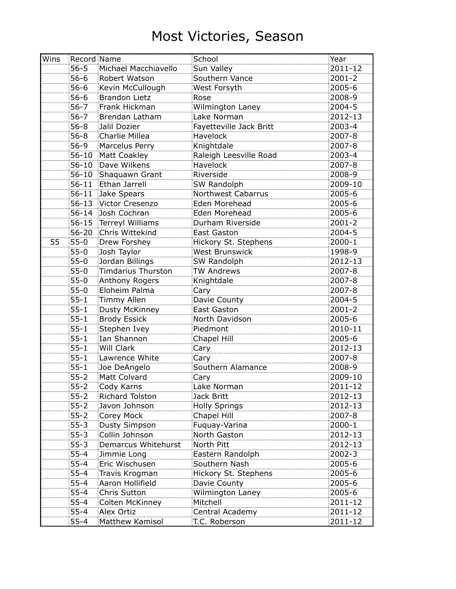| Wins |           | Record Name            | School                    | Year       |
|------|-----------|------------------------|---------------------------|------------|
|      | $56 - 5$  | Michael Macchiavello   | Sun Valley                | 2011-12    |
|      | $56 - 6$  | Robert Watson          | Southern Vance            | $2001 - 2$ |
|      | $56 - 6$  | Kevin McCullough       | West Forsyth              | 2005-6     |
|      | $56 - 6$  | <b>Brandon Lietz</b>   | Rose                      | 2008-9     |
|      | $56 - 7$  | Frank Hickman          | Wilmington Laney          | 2004-5     |
|      | $56 - 7$  | Brendan Latham         | Lake Norman               | 2012-13    |
|      | $56 - 8$  | Jalil Dozier           | Fayetteville Jack Britt   | 2003-4     |
|      | $56 - 8$  | Charlie Millea         | Havelock                  | 2007-8     |
|      | $56-9$    | Marcelus Perry         | Knightdale                | 2007-8     |
|      | $56 - 10$ | Matt Coakley           | Raleigh Leesville Road    | 2003-4     |
|      |           | 56-10 Dave Wilkens     | Havelock                  | 2007-8     |
|      | $56 - 10$ | Shaquawn Grant         | Riverside                 | 2008-9     |
|      |           | 56-11 Ethan Jarrell    | SW Randolph               | 2009-10    |
|      | $56 - 11$ | Jake Spears            | <b>Northwest Cabarrus</b> | 2005-6     |
|      |           | 56-13 Victor Cresenzo  | Eden Morehead             | $2005 - 6$ |
|      |           | 56-14 Josh Cochran     | Eden Morehead             | 2005-6     |
|      |           | 56-15 Terreyl Williams | Durham Riverside          | $2001 - 2$ |
|      | $56 - 20$ | Chris Wittekind        | <b>East Gaston</b>        | 2004-5     |
| 55   | $55-0$    | <b>Drew Forshey</b>    | Hickory St. Stephens      | $2000 - 1$ |
|      | $55-0$    | Josh Taylor            | <b>West Brunswick</b>     | 1998-9     |
|      | $55-0$    | Jordan Billings        | SW Randolph               | 2012-13    |
|      | $55-0$    | Timdarius Thurston     | <b>TW Andrews</b>         | 2007-8     |
|      | $55-0$    | Anthony Rogers         | Knightdale                | 2007-8     |
|      | $55-0$    | Eloheim Palma          | Cary                      | 2007-8     |
|      | $55 - 1$  | Timmy Allen            | Davie County              | 2004-5     |
|      | $55 - 1$  | Dusty McKinney         | East Gaston               | $2001 - 2$ |
|      | $55 - 1$  | <b>Brody Essick</b>    | North Davidson            | 2005-6     |
|      | $55 - 1$  | Stephen Ivey           | Piedmont                  | 2010-11    |
|      | $55 - 1$  | Ian Shannon            | Chapel Hill               | 2005-6     |
|      | $55 - 1$  | <b>Will Clark</b>      | Cary                      | 2012-13    |
|      | $55 - 1$  | Lawrence White         | Cary                      | 2007-8     |
|      | $55 - 1$  | Joe DeAngelo           | Southern Alamance         | 2008-9     |
|      | $55 - 2$  | Matt Colvard           | Cary                      | 2009-10    |
|      | $55 - 2$  | Cody Karns             | Lake Norman               | 2011-12    |
|      | $55 - 2$  | Richard Tolston        | Jack Britt                | 2012-13    |
|      | $55 - 2$  | Javon Johnson          | <b>Holly Springs</b>      | 2012-13    |
|      | $55 - 2$  | Corey Mock             | Chapel Hill               | 2007-8     |
|      | $55 - 3$  | Dusty Simpson          | Fuquay-Varina             | 2000-1     |
|      | $55 - 3$  | Collin Johnson         | North Gaston              | 2012-13    |
|      | $55 - 3$  | Demarcus Whitehurst    | North Pitt                | 2012-13    |
|      | $55 - 4$  | Jimmie Long            | Eastern Randolph          | 2002-3     |
|      | $55 - 4$  | Eric Wischusen         | Southern Nash             | 2005-6     |
|      | $55 - 4$  | Travis Krogman         | Hickory St. Stephens      | 2005-6     |
|      | $55 - 4$  | Aaron Hollifield       | Davie County              | 2005-6     |
|      | $55 - 4$  | Chris Sutton           | Wilmington Laney          | 2005-6     |
|      | $55 - 4$  | Colten McKinney        | Mitchell                  | 2011-12    |
|      | $55 - 4$  | Alex Ortiz             | Central Academy           | 2011-12    |
|      | $55 - 4$  | Matthew Kamisol        | T.C. Roberson             | 2011-12    |